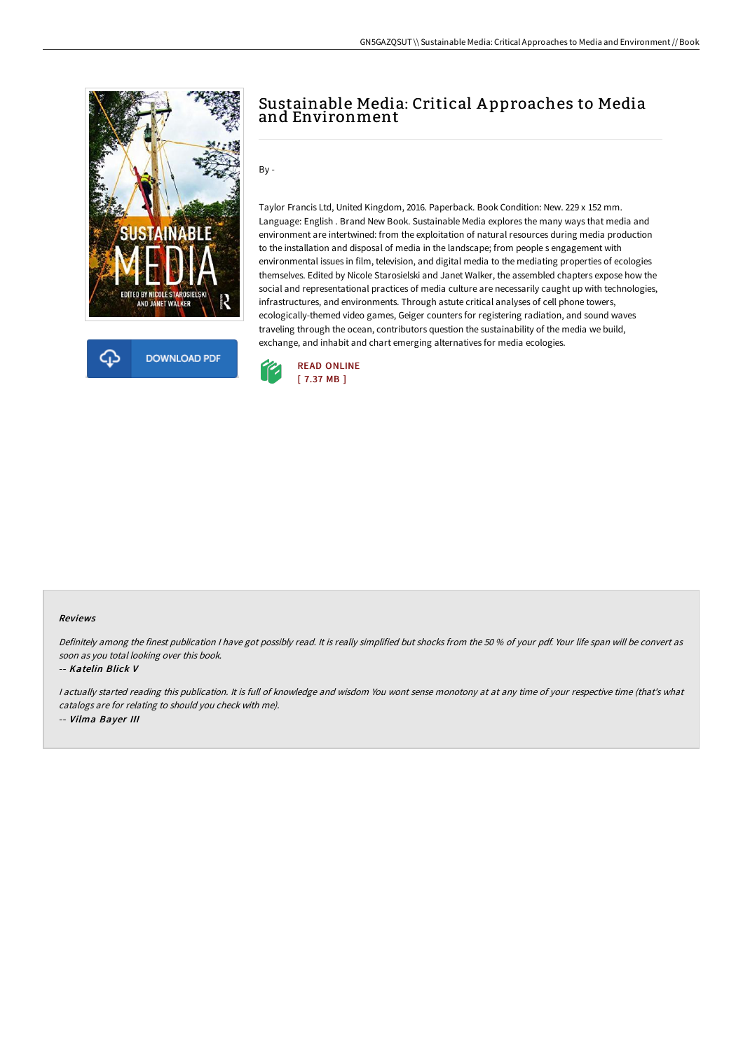



## Sustainable Media: Critical A pproaches to Media and Environment

By -

Taylor Francis Ltd, United Kingdom, 2016. Paperback. Book Condition: New. 229 x 152 mm. Language: English . Brand New Book. Sustainable Media explores the many ways that media and environment are intertwined: from the exploitation of natural resources during media production to the installation and disposal of media in the landscape; from people s engagement with environmental issues in film, television, and digital media to the mediating properties of ecologies themselves. Edited by Nicole Starosielski and Janet Walker, the assembled chapters expose how the social and representational practices of media culture are necessarily caught up with technologies, infrastructures, and environments. Through astute critical analyses of cell phone towers, ecologically-themed video games, Geiger counters for registering radiation, and sound waves traveling through the ocean, contributors question the sustainability of the media we build, exchange, and inhabit and chart emerging alternatives for media ecologies.



#### Reviews

Definitely among the finest publication <sup>I</sup> have got possibly read. It is really simplified but shocks from the <sup>50</sup> % of your pdf. Your life span will be convert as soon as you total looking over this book.

### -- Katelin Blick V

I actually started reading this publication. It is full of knowledge and wisdom You wont sense monotony at at any time of your respective time (that's what catalogs are for relating to should you check with me). -- Vilma Bayer III